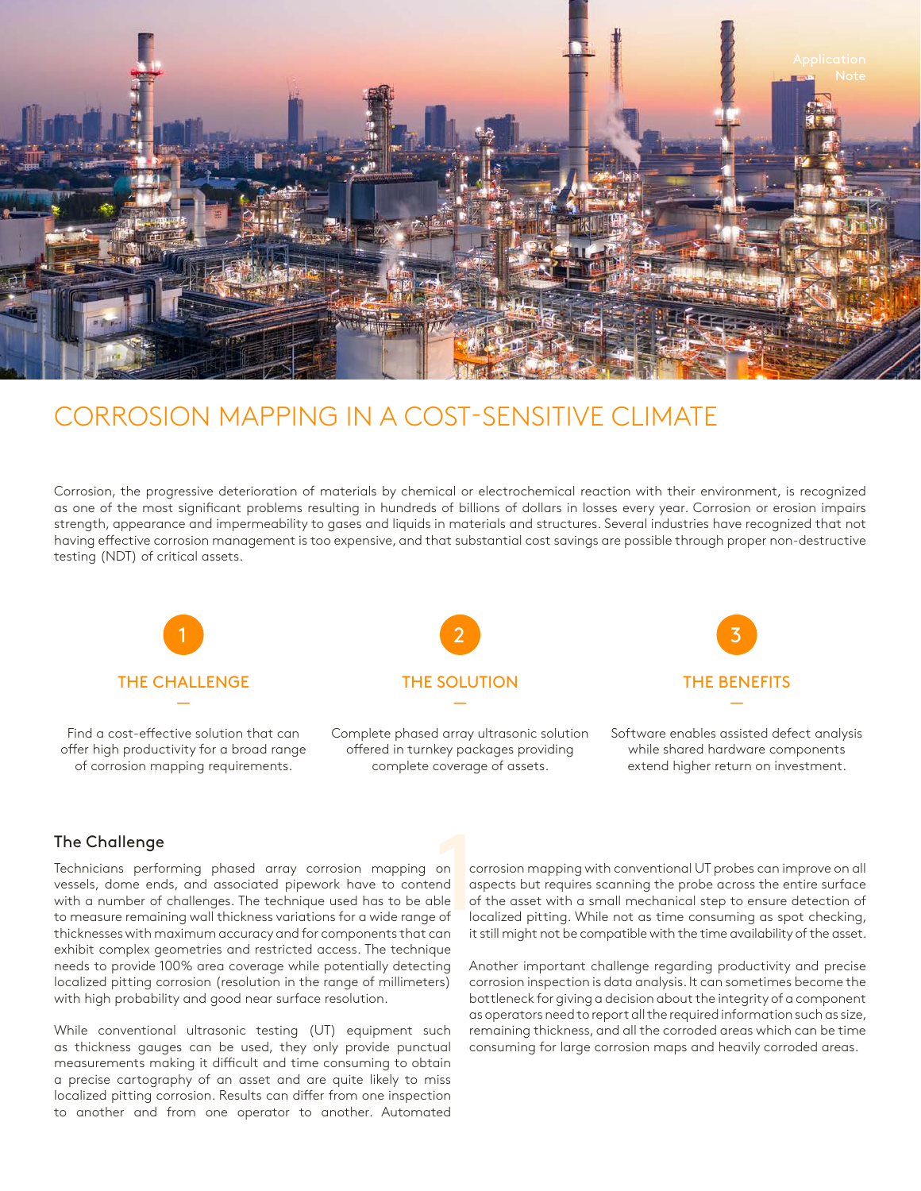

# CORROSION MAPPING IN A COST-SENSITIVE CLIMATE

Corrosion, the progressive deterioration of materials by chemical or electrochemical reaction with their environment, is recognized as one of the most significant problems resulting in hundreds of billions of dollars in losses every year. Corrosion or erosion impairs strength, appearance and impermeability to gases and liquids in materials and structures. Several industries have recognized that not having effective corrosion management is too expensive, and that substantial cost savings are possible through proper non-destructive testing (NDT) of critical assets.



Find a cost-effective solution that can offer high productivity for a broad range of corrosion mapping requirements.



Complete phased array ultrasonic solution offered in turnkey packages providing complete coverage of assets.



Software enables assisted defect analysis while shared hardware components extend higher return on investment.

# The Challenge

on completed and discrete the complete of the complete state of the complete state of the complete state of the complete state state of the complete state state state state state state state state state state state state s Technicians performing phased array corrosion mapping on vessels, dome ends, and associated pipework have to contend with a number of challenges. The technique used has to be able to measure remaining wall thickness variations for a wide range of thicknesses with maximum accuracy and for components that can exhibit complex geometries and restricted access. The technique needs to provide 100% area coverage while potentially detecting localized pitting corrosion (resolution in the range of millimeters) with high probability and good near surface resolution.

While conventional ultrasonic testing (UT) equipment such as thickness gauges can be used, they only provide punctual measurements making it difficult and time consuming to obtain a precise cartography of an asset and are quite likely to miss localized pitting corrosion. Results can differ from one inspection to another and from one operator to another. Automated

corrosion mapping with conventional UT probes can improve on all aspects but requires scanning the probe across the entire surface of the asset with a small mechanical step to ensure detection of localized pitting. While not as time consuming as spot checking, it still might not be compatible with the time availability of the asset.

Another important challenge regarding productivity and precise corrosion inspection is data analysis. It can sometimes become the bottleneck for giving a decision about the integrity of a component as operators need to report all the required information such as size, remaining thickness, and all the corroded areas which can be time consuming for large corrosion maps and heavily corroded areas.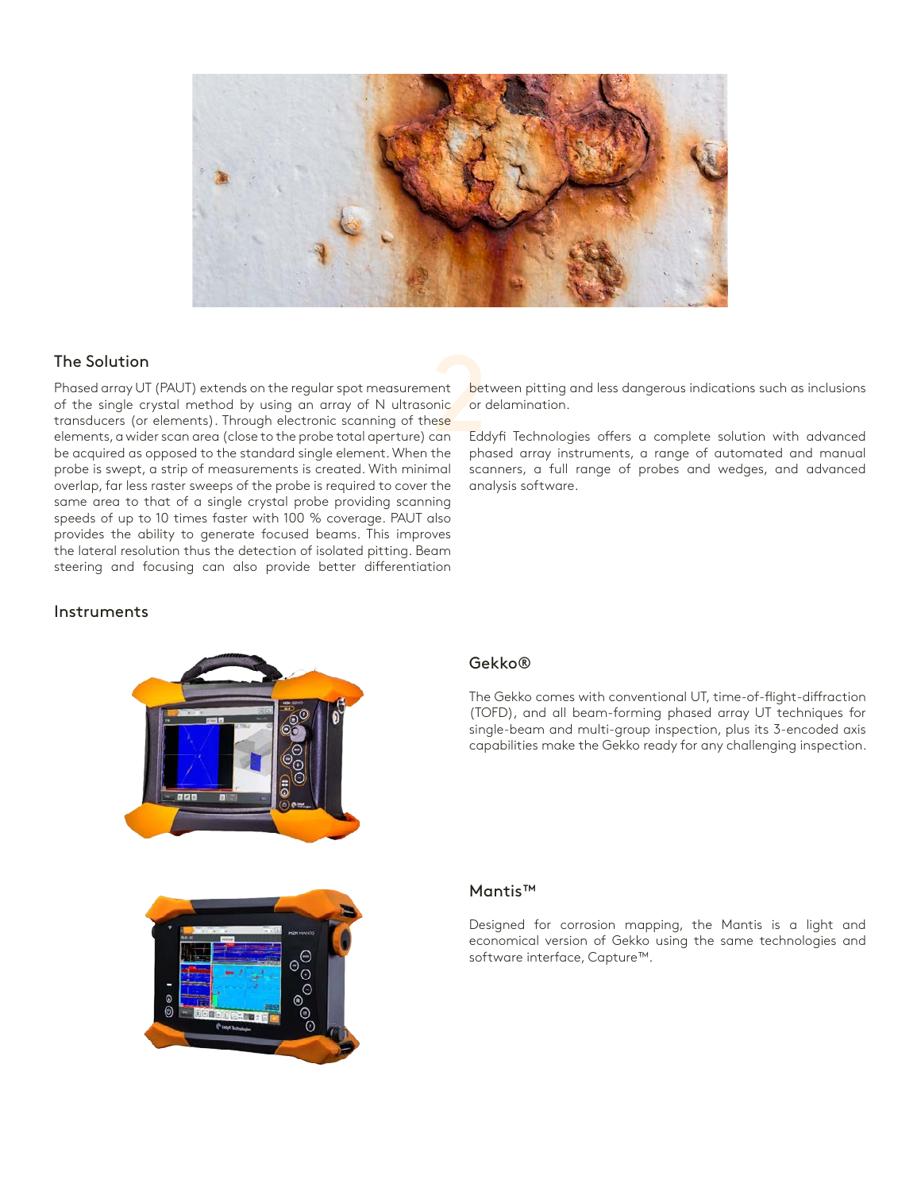

The Solution<br>
Phased array UT (PAUT) extends on the regular spot measurement<br>
of the single crystal method by using an array of N ultrasonic or c<br>
transducers (or elements). Through electronic scanning of these<br>
elements, Phased array UT (PAUT) extends on the regular spot measurement of the single crystal method by using an array of N ultrasonic transducers (or elements). Through electronic scanning of these elements, a wider scan area (close to the probe total aperture) can be acquired as opposed to the standard single element. When the probe is swept, a strip of measurements is created. With minimal overlap, far less raster sweeps of the probe is required to cover the same area to that of a single crystal probe providing scanning speeds of up to 10 times faster with 100 % coverage. PAUT also provides the ability to generate focused beams. This improves the lateral resolution thus the detection of isolated pitting. Beam steering and focusing can also provide better differentiation

between pitting and less dangerous indications such as inclusions or delamination.

Eddyfi Technologies offers a complete solution with advanced phased array instruments, a range of automated and manual scanners, a full range of probes and wedges, and advanced analysis software.

### Instruments



#### Gekko®

The Gekko comes with conventional UT, time-of-flight-diffraction (TOFD), and all beam-forming phased array UT techniques for single-beam and multi-group inspection, plus its 3-encoded axis capabilities make the Gekko ready for any challenging inspection.



# Mantis™

Designed for corrosion mapping, the Mantis is a light and economical version of Gekko using the same technologies and software interface, Capture™.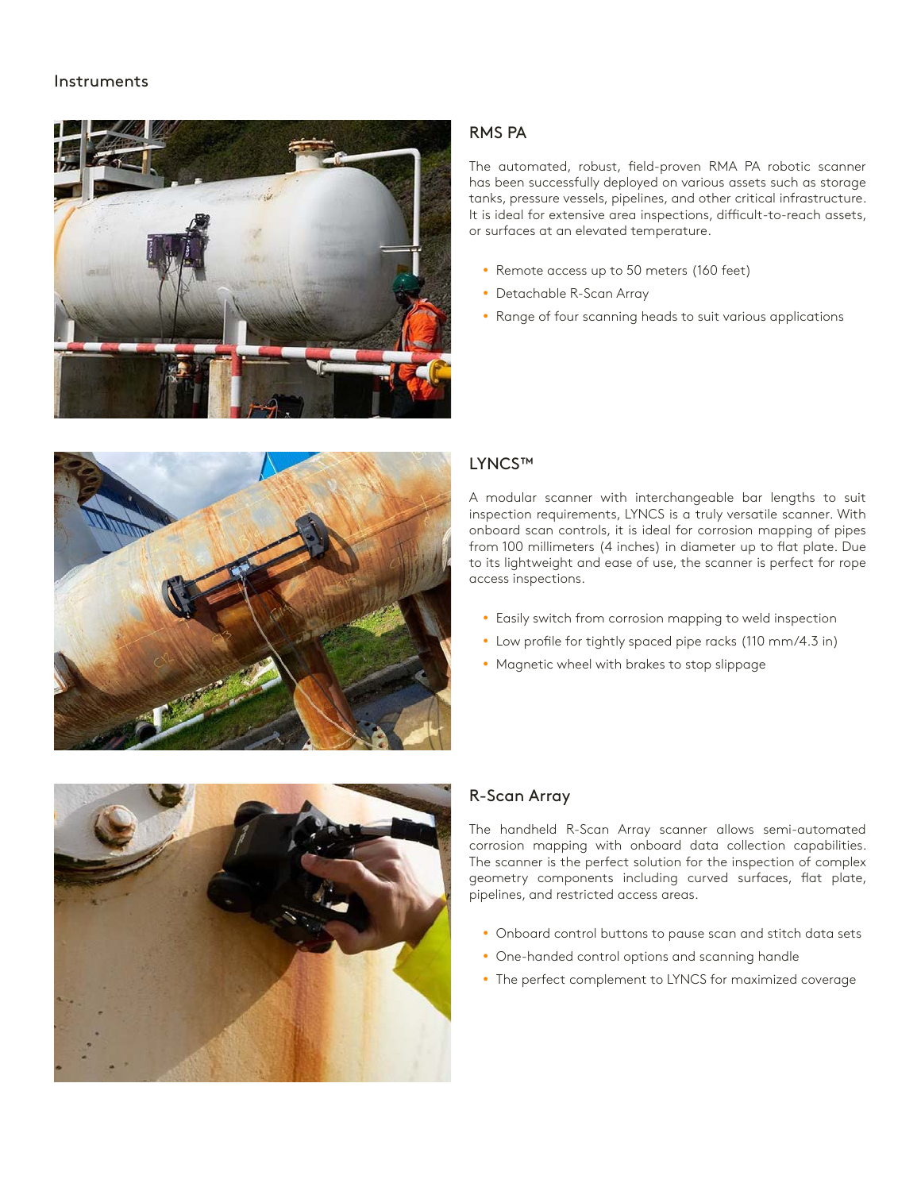#### Instruments



# RMS PA

The automated, robust, field-proven RMA PA robotic scanner has been successfully deployed on various assets such as storage tanks, pressure vessels, pipelines, and other critical infrastructure. It is ideal for extensive area inspections, difficult-to-reach assets, or surfaces at an elevated temperature.

- Remote access up to 50 meters (160 feet)
- Detachable R-Scan Array
- Range of four scanning heads to suit various applications



# LYNCS™

A modular scanner with interchangeable bar lengths to suit inspection requirements, LYNCS is a truly versatile scanner. With onboard scan controls, it is ideal for corrosion mapping of pipes from 100 millimeters (4 inches) in diameter up to flat plate. Due to its lightweight and ease of use, the scanner is perfect for rope access inspections.

- Easily switch from corrosion mapping to weld inspection
- Low profile for tightly spaced pipe racks (110 mm/4.3 in)
- Magnetic wheel with brakes to stop slippage



# R-Scan Array

The handheld R-Scan Array scanner allows semi-automated corrosion mapping with onboard data collection capabilities. The scanner is the perfect solution for the inspection of complex geometry components including curved surfaces, flat plate, pipelines, and restricted access areas.

- Onboard control buttons to pause scan and stitch data sets
- One-handed control options and scanning handle
- The perfect complement to LYNCS for maximized coverage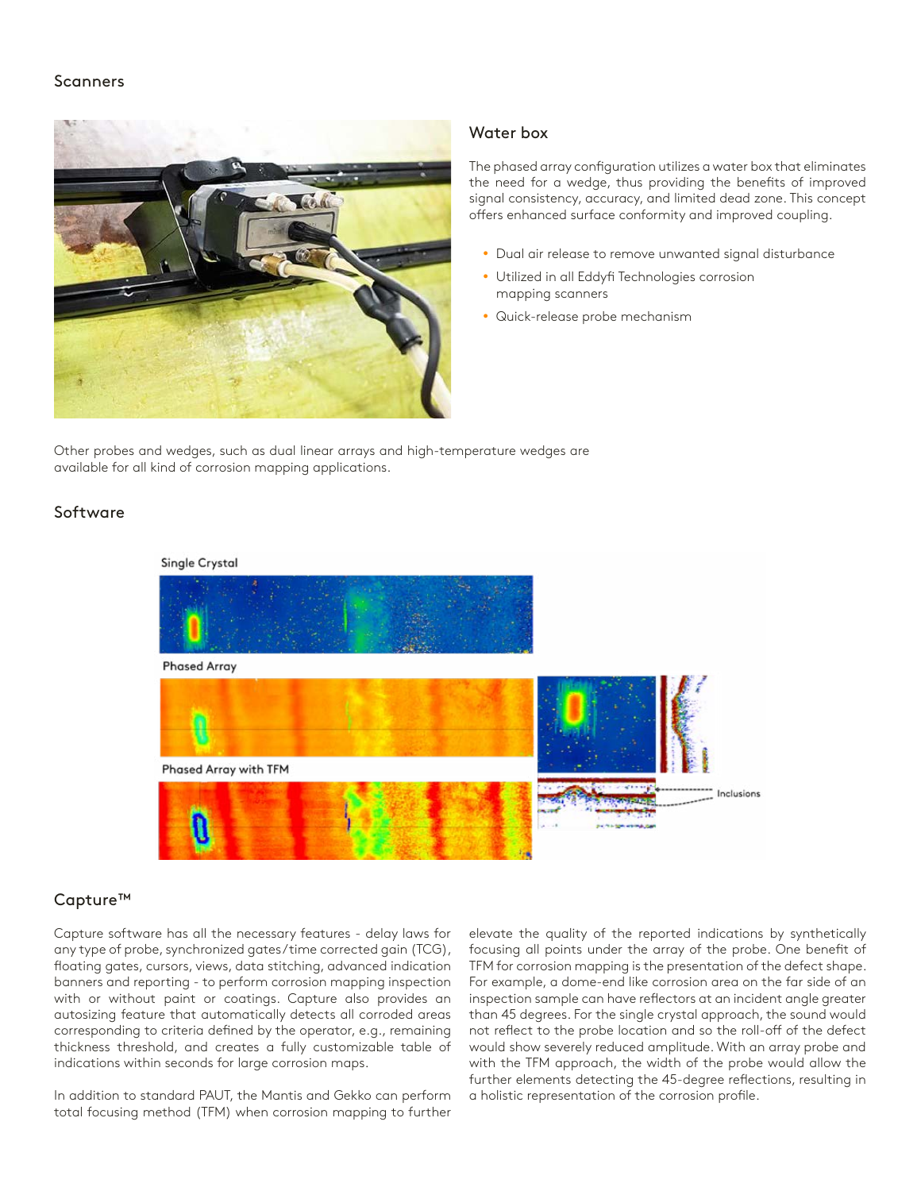#### **Scanners**



#### Water box

The phased array configuration utilizes a water box that eliminates the need for a wedge, thus providing the benefits of improved signal consistency, accuracy, and limited dead zone. This concept offers enhanced surface conformity and improved coupling.

- Dual air release to remove unwanted signal disturbance
- Utilized in all Eddyfi Technologies corrosion mapping scanners
- Quick-release probe mechanism

Other probes and wedges, such as dual linear arrays and high-temperature wedges are available for all kind of corrosion mapping applications.

# Software



#### Single Crystal

# Capture™

Capture software has all the necessary features - delay laws for any type of probe, synchronized gates/time corrected gain (TCG), floating gates, cursors, views, data stitching, advanced indication banners and reporting - to perform corrosion mapping inspection with or without paint or coatings. Capture also provides an autosizing feature that automatically detects all corroded areas corresponding to criteria defined by the operator, e.g., remaining thickness threshold, and creates a fully customizable table of indications within seconds for large corrosion maps.

In addition to standard PAUT, the Mantis and Gekko can perform total focusing method (TFM) when corrosion mapping to further

elevate the quality of the reported indications by synthetically focusing all points under the array of the probe. One benefit of TFM for corrosion mapping is the presentation of the defect shape. For example, a dome-end like corrosion area on the far side of an inspection sample can have reflectors at an incident angle greater than 45 degrees. For the single crystal approach, the sound would not reflect to the probe location and so the roll-off of the defect would show severely reduced amplitude. With an array probe and with the TFM approach, the width of the probe would allow the further elements detecting the 45-degree reflections, resulting in a holistic representation of the corrosion profile.